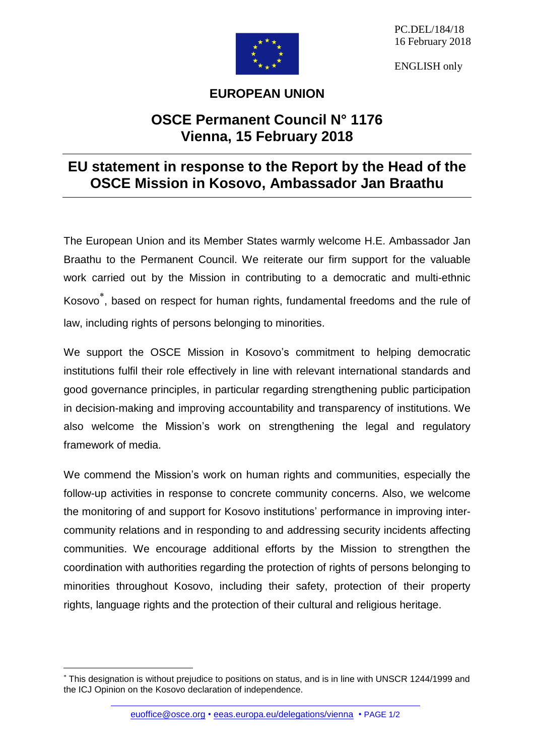

PC.DEL/184/18 16 February 2018

ENGLISH only

## **EUROPEAN UNION**

## **OSCE Permanent Council N° 1176 Vienna, 15 February 2018**

## **EU statement in response to the Report by the Head of the OSCE Mission in Kosovo, Ambassador Jan Braathu**

The European Union and its Member States warmly welcome H.E. Ambassador Jan Braathu to the Permanent Council. We reiterate our firm support for the valuable work carried out by the Mission in contributing to a democratic and multi-ethnic Kosovo , based on respect for human rights, fundamental freedoms and the rule of law, including rights of persons belonging to minorities.

We support the OSCE Mission in Kosovo's commitment to helping democratic institutions fulfil their role effectively in line with relevant international standards and good governance principles, in particular regarding strengthening public participation in decision-making and improving accountability and transparency of institutions. We also welcome the Mission's work on strengthening the legal and regulatory framework of media.

We commend the Mission's work on human rights and communities, especially the follow-up activities in response to concrete community concerns. Also, we welcome the monitoring of and support for Kosovo institutions' performance in improving intercommunity relations and in responding to and addressing security incidents affecting communities. We encourage additional efforts by the Mission to strengthen the coordination with authorities regarding the protection of rights of persons belonging to minorities throughout Kosovo, including their safety, protection of their property rights, language rights and the protection of their cultural and religious heritage.

 $\overline{a}$ 

[euoffice@osce.org](mailto:euoffice@osce.org) • [eeas.europa.eu/delegations/vienna](http://eeas.europa.eu/delegations/vienna) • PAGE 1/2

This designation is without prejudice to positions on status, and is in line with UNSCR 1244/1999 and the ICJ Opinion on the Kosovo declaration of independence.